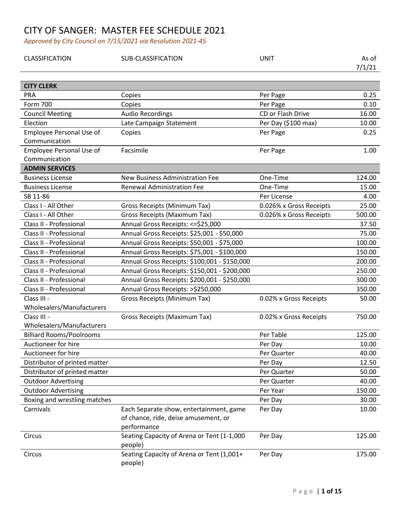| CLASSIFICATION                  | SUB-CLASSIFICATION                                                                             | <b>UNIT</b>             | As of<br>7/1/21 |
|---------------------------------|------------------------------------------------------------------------------------------------|-------------------------|-----------------|
| <b>CITY CLERK</b>               |                                                                                                |                         |                 |
| PRA                             | Copies                                                                                         | Per Page                | 0.25            |
| Form 700                        | Copies                                                                                         | Per Page                | 0.10            |
| <b>Council Meeting</b>          | <b>Audio Recordings</b>                                                                        | CD or Flash Drive       | 16.00           |
| Election                        | Late Campaign Statement                                                                        | Per Day (\$100 max)     | 10.00           |
| <b>Employee Personal Use of</b> | Copies                                                                                         | Per Page                | 0.25            |
| Communication                   |                                                                                                |                         |                 |
| Employee Personal Use of        | Facsimile                                                                                      | Per Page                | 1.00            |
| Communication                   |                                                                                                |                         |                 |
| <b>ADMIN SERVICES</b>           |                                                                                                |                         |                 |
| <b>Business License</b>         | New Business Administration Fee                                                                | One-Time                | 124.00          |
| <b>Business License</b>         | <b>Renewal Administration Fee</b>                                                              | One-Time                | 15.00           |
| SB 11-86                        |                                                                                                | Per License             | 4.00            |
| Class I - All Other             | <b>Gross Receipts (Minimum Tax)</b>                                                            | 0.026% x Gross Receipts | 25.00           |
| Class I - All Other             | <b>Gross Receipts (Maximum Tax)</b>                                                            | 0.026% x Gross Receipts | 500.00          |
| Class II - Professional         | Annual Gross Receipts: <= \$25,000                                                             |                         | 37.50           |
| Class II - Professional         | Annual Gross Receipts: \$25,001 - \$50,000                                                     |                         | 75.00           |
| Class II - Professional         | Annual Gross Receipts: \$50,001 - \$75,000                                                     |                         | 100.00          |
| Class II - Professional         | Annual Gross Receipts: \$75,001 - \$100,000                                                    |                         | 150.00          |
| Class II - Professional         | Annual Gross Receipts: \$100,001 - \$150,000                                                   |                         | 200.00          |
| Class II - Professional         | Annual Gross Receipts: \$150,001 - \$200,000                                                   |                         | 250.00          |
| Class II - Professional         | Annual Gross Receipts: \$200,001 - \$250,000                                                   |                         | 300.00          |
| Class II - Professional         | Annual Gross Receipts: >\$250,000                                                              |                         | 350.00          |
| Class III -                     | <b>Gross Receipts (Minimum Tax)</b>                                                            | 0.02% x Gross Receipts  | 50.00           |
| Wholesalers/Manufacturers       |                                                                                                |                         |                 |
| Class III -                     | Gross Receipts (Maximum Tax)                                                                   | 0.02% x Gross Receipts  | 750.00          |
| Wholesalers/Manufacturers       |                                                                                                |                         |                 |
| <b>Billiard Rooms/Poolrooms</b> |                                                                                                | Per Table               | 125.00          |
| Auctioneer for hire             |                                                                                                | Per Day                 | 10.00           |
| Auctioneer for hire             |                                                                                                | Per Quarter             | 40.00           |
| Distributor of printed matter   |                                                                                                | Per Day                 | 12.50           |
| Distributor of printed matter   |                                                                                                | Per Quarter             | 50.00           |
| <b>Outdoor Advertising</b>      |                                                                                                | Per Quarter             | 40.00           |
| <b>Outdoor Advertising</b>      |                                                                                                | Per Year                | 150.00          |
| Boxing and wrestling matches    |                                                                                                | Per Day                 | 30.00           |
| Carnivals                       | Each Separate show, entertainment, game<br>of chance, ride, deise amusement, or<br>performance | Per Day                 | 10.00           |
|                                 |                                                                                                |                         |                 |
| Circus                          | Seating Capacity of Arena or Tent (1-1,000<br>people)                                          | Per Day                 | 125.00          |
| Circus                          | Seating Capacity of Arena or Tent (1,001+<br>people)                                           | Per Day                 | 175.00          |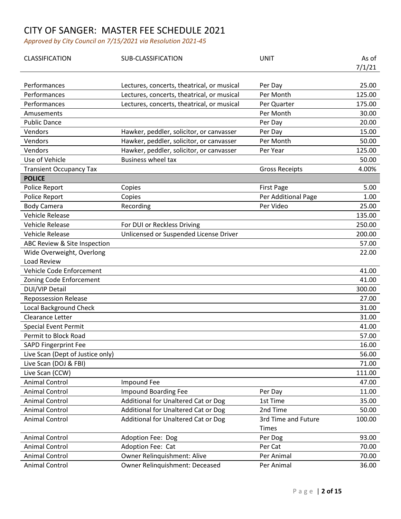| CLASSIFICATION                   | SUB-CLASSIFICATION                         | <b>UNIT</b>           | As of  |
|----------------------------------|--------------------------------------------|-----------------------|--------|
|                                  |                                            |                       | 7/1/21 |
| Performances                     | Lectures, concerts, theatrical, or musical | Per Day               | 25.00  |
| Performances                     | Lectures, concerts, theatrical, or musical | Per Month             | 125.00 |
| Performances                     | Lectures, concerts, theatrical, or musical | Per Quarter           | 175.00 |
| Amusements                       |                                            | Per Month             | 30.00  |
| <b>Public Dance</b>              |                                            |                       | 20.00  |
| Vendors                          |                                            | Per Day               | 15.00  |
|                                  | Hawker, peddler, solicitor, or canvasser   | Per Day               |        |
| Vendors                          | Hawker, peddler, solicitor, or canvasser   | Per Month             | 50.00  |
| Vendors                          | Hawker, peddler, solicitor, or canvasser   | Per Year              | 125.00 |
| Use of Vehicle                   | <b>Business wheel tax</b>                  |                       | 50.00  |
| <b>Transient Occupancy Tax</b>   |                                            | <b>Gross Receipts</b> | 4.00%  |
| <b>POLICE</b>                    |                                            |                       |        |
| Police Report                    | Copies                                     | <b>First Page</b>     | 5.00   |
| Police Report                    | Copies                                     | Per Additional Page   | 1.00   |
| <b>Body Camera</b>               | Recording                                  | Per Video             | 25.00  |
| <b>Vehicle Release</b>           |                                            |                       | 135.00 |
| <b>Vehicle Release</b>           | For DUI or Reckless Driving                |                       | 250.00 |
| <b>Vehicle Release</b>           | Unlicensed or Suspended License Driver     |                       | 200.00 |
| ABC Review & Site Inspection     |                                            |                       | 57.00  |
| Wide Overweight, Overlong        |                                            |                       | 22.00  |
| Load Review                      |                                            |                       |        |
| Vehicle Code Enforcement         |                                            |                       | 41.00  |
| Zoning Code Enforcement          |                                            |                       | 41.00  |
| <b>DUI/VIP Detail</b>            |                                            |                       | 300.00 |
| <b>Repossession Release</b>      |                                            |                       | 27.00  |
| <b>Local Background Check</b>    |                                            |                       | 31.00  |
| Clearance Letter                 |                                            |                       | 31.00  |
| <b>Special Event Permit</b>      |                                            |                       | 41.00  |
| Permit to Block Road             |                                            |                       | 57.00  |
| <b>SAPD Fingerprint Fee</b>      |                                            |                       | 16.00  |
| Live Scan (Dept of Justice only) |                                            |                       | 56.00  |
| Live Scan (DOJ & FBI)            |                                            |                       | 71.00  |
| Live Scan (CCW)                  |                                            |                       | 111.00 |
| <b>Animal Control</b>            | Impound Fee                                |                       | 47.00  |
| <b>Animal Control</b>            | Impound Boarding Fee                       | Per Day               | 11.00  |
| <b>Animal Control</b>            | Additional for Unaltered Cat or Dog        | 1st Time              | 35.00  |
| <b>Animal Control</b>            | Additional for Unaltered Cat or Dog        | 2nd Time              | 50.00  |
| <b>Animal Control</b>            | Additional for Unaltered Cat or Dog        | 3rd Time and Future   | 100.00 |
|                                  |                                            | Times                 |        |
| <b>Animal Control</b>            | Adoption Fee: Dog                          | Per Dog               | 93.00  |
| <b>Animal Control</b>            | Adoption Fee: Cat                          | Per Cat               | 70.00  |
| <b>Animal Control</b>            | Owner Relinquishment: Alive                | Per Animal            | 70.00  |
| <b>Animal Control</b>            | Owner Relinquishment: Deceased             | Per Animal            | 36.00  |
|                                  |                                            |                       |        |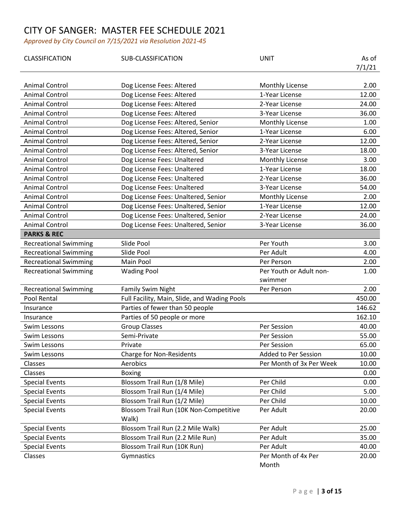| CLASSIFICATION               | SUB-CLASSIFICATION                              | <b>UNIT</b>                  | As of<br>7/1/21 |
|------------------------------|-------------------------------------------------|------------------------------|-----------------|
|                              |                                                 |                              |                 |
| Animal Control               | Dog License Fees: Altered                       | Monthly License              | 2.00            |
| <b>Animal Control</b>        | Dog License Fees: Altered                       | 1-Year License               | 12.00           |
| <b>Animal Control</b>        | Dog License Fees: Altered                       | 2-Year License               | 24.00           |
| <b>Animal Control</b>        | Dog License Fees: Altered                       | 3-Year License               | 36.00           |
| <b>Animal Control</b>        | Dog License Fees: Altered, Senior               | Monthly License              | 1.00            |
| <b>Animal Control</b>        | Dog License Fees: Altered, Senior               | 1-Year License               | 6.00            |
| <b>Animal Control</b>        | Dog License Fees: Altered, Senior               | 2-Year License               | 12.00           |
| <b>Animal Control</b>        | Dog License Fees: Altered, Senior               | 3-Year License               | 18.00           |
| <b>Animal Control</b>        | Dog License Fees: Unaltered                     | Monthly License              | 3.00            |
| <b>Animal Control</b>        | Dog License Fees: Unaltered                     | 1-Year License               | 18.00           |
| <b>Animal Control</b>        | Dog License Fees: Unaltered                     | 2-Year License               | 36.00           |
| <b>Animal Control</b>        | Dog License Fees: Unaltered                     | 3-Year License               | 54.00           |
| <b>Animal Control</b>        | Dog License Fees: Unaltered, Senior             | Monthly License              | 2.00            |
| <b>Animal Control</b>        | Dog License Fees: Unaltered, Senior             | 1-Year License               | 12.00           |
| <b>Animal Control</b>        | Dog License Fees: Unaltered, Senior             | 2-Year License               | 24.00           |
| <b>Animal Control</b>        | Dog License Fees: Unaltered, Senior             | 3-Year License               | 36.00           |
| <b>PARKS &amp; REC</b>       |                                                 |                              |                 |
| <b>Recreational Swimming</b> | Slide Pool                                      | Per Youth                    | 3.00            |
| <b>Recreational Swimming</b> | Slide Pool                                      | Per Adult                    | 4.00            |
| <b>Recreational Swimming</b> | Main Pool                                       | Per Person                   | 2.00            |
| <b>Recreational Swimming</b> | <b>Wading Pool</b>                              | Per Youth or Adult non-      | 1.00            |
|                              |                                                 | swimmer                      |                 |
| <b>Recreational Swimming</b> | <b>Family Swim Night</b>                        | Per Person                   | 2.00            |
| Pool Rental                  | Full Facility, Main, Slide, and Wading Pools    |                              | 450.00          |
| Insurance                    | Parties of fewer than 50 people                 |                              | 146.62          |
| Insurance                    | Parties of 50 people or more                    |                              | 162.10          |
| <b>Swim Lessons</b>          | <b>Group Classes</b>                            | Per Session                  | 40.00           |
| <b>Swim Lessons</b>          | Semi-Private                                    | Per Session                  | 55.00           |
| <b>Swim Lessons</b>          | Private                                         | Per Session                  | 65.00           |
| Swim Lessons                 | <b>Charge for Non-Residents</b>                 | <b>Added to Per Session</b>  | 10.00           |
| Classes                      | Aerobics                                        | Per Month of 3x Per Week     | 10.00           |
| Classes                      | <b>Boxing</b>                                   |                              | 0.00            |
| <b>Special Events</b>        | Blossom Trail Run (1/8 Mile)                    | Per Child                    | 0.00            |
| <b>Special Events</b>        | Blossom Trail Run (1/4 Mile)                    | Per Child                    | 5.00            |
| <b>Special Events</b>        | Blossom Trail Run (1/2 Mile)                    | Per Child                    | 10.00           |
| <b>Special Events</b>        | Blossom Trail Run (10K Non-Competitive<br>Walk) | Per Adult                    | 20.00           |
| <b>Special Events</b>        | Blossom Trail Run (2.2 Mile Walk)               | Per Adult                    | 25.00           |
| <b>Special Events</b>        | Blossom Trail Run (2.2 Mile Run)                | Per Adult                    | 35.00           |
| <b>Special Events</b>        | Blossom Trail Run (10K Run)                     | Per Adult                    | 40.00           |
| Classes                      | Gymnastics                                      | Per Month of 4x Per<br>Month | 20.00           |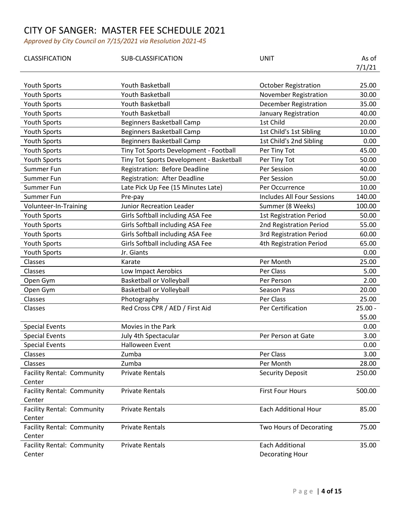| CLASSIFICATION                    | SUB-CLASSIFICATION                       | <b>UNIT</b>                       | As of     |
|-----------------------------------|------------------------------------------|-----------------------------------|-----------|
|                                   |                                          |                                   | 7/1/21    |
| Youth Sports                      | Youth Basketball                         | <b>October Registration</b>       | 25.00     |
| Youth Sports                      | <b>Youth Basketball</b>                  | November Registration             | 30.00     |
| <b>Youth Sports</b>               | Youth Basketball                         | <b>December Registration</b>      | 35.00     |
| Youth Sports                      | Youth Basketball                         | January Registration              | 40.00     |
| Youth Sports                      | <b>Beginners Basketball Camp</b>         | 1st Child                         | 20.00     |
| Youth Sports                      | Beginners Basketball Camp                | 1st Child's 1st Sibling           | 10.00     |
| <b>Youth Sports</b>               | <b>Beginners Basketball Camp</b>         | 1st Child's 2nd Sibling           | 0.00      |
| Youth Sports                      | Tiny Tot Sports Development - Football   | Per Tiny Tot                      | 45.00     |
| Youth Sports                      | Tiny Tot Sports Development - Basketball | Per Tiny Tot                      | 50.00     |
| Summer Fun                        | Registration: Before Deadline            | Per Session                       | 40.00     |
| Summer Fun                        | Registration: After Deadline             | Per Session                       | 50.00     |
| Summer Fun                        | Late Pick Up Fee (15 Minutes Late)       | Per Occurrence                    | 10.00     |
| Summer Fun                        | Pre-pay                                  | <b>Includes All Four Sessions</b> | 140.00    |
| Volunteer-In-Training             | <b>Junior Recreation Leader</b>          | Summer (8 Weeks)                  | 100.00    |
| Youth Sports                      | Girls Softball including ASA Fee         | <b>1st Registration Period</b>    | 50.00     |
| Youth Sports                      | Girls Softball including ASA Fee         | 2nd Registration Period           | 55.00     |
| Youth Sports                      | Girls Softball including ASA Fee         | <b>3rd Registration Period</b>    | 60.00     |
| <b>Youth Sports</b>               | Girls Softball including ASA Fee         | 4th Registration Period           | 65.00     |
| Youth Sports                      | Jr. Giants                               |                                   | 0.00      |
| Classes                           | Karate                                   | Per Month                         | 25.00     |
| Classes                           | Low Impact Aerobics                      | Per Class                         | 5.00      |
| Open Gym                          | <b>Basketball or Volleyball</b>          | Per Person                        | 2.00      |
| Open Gym                          | <b>Basketball or Volleyball</b>          | Season Pass                       | 20.00     |
| Classes                           | Photography                              | Per Class                         | 25.00     |
| Classes                           | Red Cross CPR / AED / First Aid          | Per Certification                 | $25.00 -$ |
|                                   |                                          |                                   | 55.00     |
| <b>Special Events</b>             | Movies in the Park                       |                                   | 0.00      |
| <b>Special Events</b>             | July 4th Spectacular                     | Per Person at Gate                | 3.00      |
| <b>Special Events</b>             | <b>Halloween Event</b>                   |                                   | 0.00      |
| Classes                           | Zumba                                    | Per Class                         | 3.00      |
| Classes                           | Zumba                                    | Per Month                         | 28.00     |
| <b>Facility Rental: Community</b> | <b>Private Rentals</b>                   | <b>Security Deposit</b>           | 250.00    |
| Center                            |                                          |                                   |           |
| <b>Facility Rental: Community</b> | <b>Private Rentals</b>                   | <b>First Four Hours</b>           | 500.00    |
| Center                            |                                          |                                   |           |
| Facility Rental: Community        | <b>Private Rentals</b>                   | <b>Each Additional Hour</b>       | 85.00     |
| Center                            |                                          |                                   |           |
| Facility Rental: Community        | <b>Private Rentals</b>                   | Two Hours of Decorating           | 75.00     |
| Center                            |                                          |                                   |           |
| <b>Facility Rental: Community</b> | <b>Private Rentals</b>                   | <b>Each Additional</b>            | 35.00     |
| Center                            |                                          | Decorating Hour                   |           |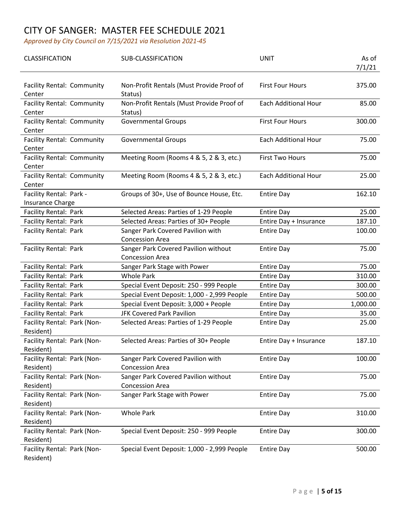| CLASSIFICATION                                     | SUB-CLASSIFICATION                                             | <b>UNIT</b>                 | As of<br>7/1/21 |
|----------------------------------------------------|----------------------------------------------------------------|-----------------------------|-----------------|
| <b>Facility Rental: Community</b><br>Center        | Non-Profit Rentals (Must Provide Proof of<br>Status)           | <b>First Four Hours</b>     | 375.00          |
| <b>Facility Rental: Community</b><br>Center        | Non-Profit Rentals (Must Provide Proof of<br>Status)           | <b>Each Additional Hour</b> | 85.00           |
| <b>Facility Rental: Community</b><br>Center        | <b>Governmental Groups</b>                                     | <b>First Four Hours</b>     | 300.00          |
| <b>Facility Rental: Community</b><br>Center        | <b>Governmental Groups</b>                                     | Each Additional Hour        | 75.00           |
| <b>Facility Rental: Community</b><br>Center        | Meeting Room (Rooms 4 & 5, 2 & 3, etc.)                        | <b>First Two Hours</b>      | 75.00           |
| <b>Facility Rental: Community</b><br>Center        | Meeting Room (Rooms 4 & 5, 2 & 3, etc.)                        | <b>Each Additional Hour</b> | 25.00           |
| Facility Rental: Park -<br><b>Insurance Charge</b> | Groups of 30+, Use of Bounce House, Etc.                       | <b>Entire Day</b>           | 162.10          |
| Facility Rental: Park                              | Selected Areas: Parties of 1-29 People                         | <b>Entire Day</b>           | 25.00           |
| Facility Rental: Park                              | Selected Areas: Parties of 30+ People                          | Entire Day + Insurance      | 187.10          |
| <b>Facility Rental: Park</b>                       | Sanger Park Covered Pavilion with<br><b>Concession Area</b>    | <b>Entire Day</b>           | 100.00          |
| Facility Rental: Park                              | Sanger Park Covered Pavilion without<br><b>Concession Area</b> | <b>Entire Day</b>           | 75.00           |
| Facility Rental: Park                              | Sanger Park Stage with Power                                   | <b>Entire Day</b>           | 75.00           |
| Facility Rental: Park                              | <b>Whole Park</b>                                              | <b>Entire Day</b>           | 310.00          |
| <b>Facility Rental: Park</b>                       | Special Event Deposit: 250 - 999 People                        | <b>Entire Day</b>           | 300.00          |
| Facility Rental: Park                              | Special Event Deposit: 1,000 - 2,999 People                    | <b>Entire Day</b>           | 500.00          |
| Facility Rental: Park                              | Special Event Deposit: 3,000 + People                          | <b>Entire Day</b>           | 1,000.00        |
| <b>Facility Rental: Park</b>                       | <b>JFK Covered Park Pavilion</b>                               | <b>Entire Day</b>           | 35.00           |
| Facility Rental: Park (Non-<br>Resident)           | Selected Areas: Parties of 1-29 People                         | <b>Entire Day</b>           | 25.00           |
| Facility Rental: Park (Non-<br>Resident)           | Selected Areas: Parties of 30+ People                          | Entire Day + Insurance      | 187.10          |
| Facility Rental: Park (Non-<br>Resident)           | Sanger Park Covered Pavilion with<br><b>Concession Area</b>    | <b>Entire Day</b>           | 100.00          |
| Facility Rental: Park (Non-<br>Resident)           | Sanger Park Covered Pavilion without<br><b>Concession Area</b> | <b>Entire Day</b>           | 75.00           |
| Facility Rental: Park (Non-<br>Resident)           | Sanger Park Stage with Power                                   | <b>Entire Day</b>           | 75.00           |
| Facility Rental: Park (Non-<br>Resident)           | <b>Whole Park</b>                                              | <b>Entire Day</b>           | 310.00          |
| Facility Rental: Park (Non-<br>Resident)           | Special Event Deposit: 250 - 999 People                        | <b>Entire Day</b>           | 300.00          |
| Facility Rental: Park (Non-<br>Resident)           | Special Event Deposit: 1,000 - 2,999 People                    | <b>Entire Day</b>           | 500.00          |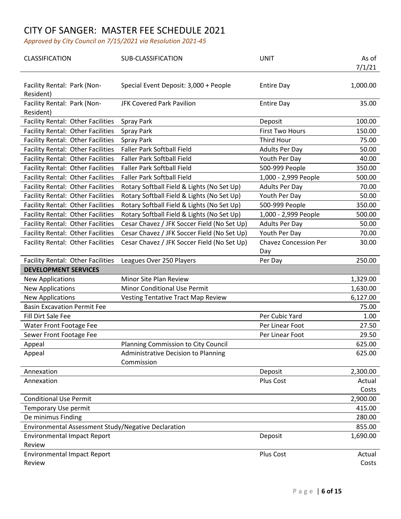| <b>CLASSIFICATION</b>                               | SUB-CLASSIFICATION                          | <b>UNIT</b>                  | As of<br>7/1/21 |
|-----------------------------------------------------|---------------------------------------------|------------------------------|-----------------|
| Facility Rental: Park (Non-<br>Resident)            | Special Event Deposit: 3,000 + People       | <b>Entire Day</b>            | 1,000.00        |
| Facility Rental: Park (Non-<br>Resident)            | <b>JFK Covered Park Pavilion</b>            | <b>Entire Day</b>            | 35.00           |
| <b>Facility Rental: Other Facilities</b>            | Spray Park                                  | Deposit                      | 100.00          |
| <b>Facility Rental: Other Facilities</b>            | Spray Park                                  | <b>First Two Hours</b>       | 150.00          |
| Facility Rental: Other Facilities                   | Spray Park                                  | Third Hour                   | 75.00           |
| <b>Facility Rental: Other Facilities</b>            | <b>Faller Park Softball Field</b>           | <b>Adults Per Day</b>        | 50.00           |
| Facility Rental: Other Facilities                   | <b>Faller Park Softball Field</b>           | Youth Per Day                | 40.00           |
| <b>Facility Rental: Other Facilities</b>            | <b>Faller Park Softball Field</b>           | 500-999 People               | 350.00          |
| <b>Facility Rental: Other Facilities</b>            | <b>Faller Park Softball Field</b>           | 1,000 - 2,999 People         | 500.00          |
| <b>Facility Rental: Other Facilities</b>            | Rotary Softball Field & Lights (No Set Up)  | <b>Adults Per Day</b>        | 70.00           |
| <b>Facility Rental: Other Facilities</b>            | Rotary Softball Field & Lights (No Set Up)  | Youth Per Day                | 50.00           |
| Facility Rental: Other Facilities                   | Rotary Softball Field & Lights (No Set Up)  | 500-999 People               | 350.00          |
| <b>Facility Rental: Other Facilities</b>            | Rotary Softball Field & Lights (No Set Up)  | 1,000 - 2,999 People         | 500.00          |
| <b>Facility Rental: Other Facilities</b>            | Cesar Chavez / JFK Soccer Field (No Set Up) | <b>Adults Per Day</b>        | 50.00           |
| Facility Rental: Other Facilities                   | Cesar Chavez / JFK Soccer Field (No Set Up) | Youth Per Day                | 70.00           |
| Facility Rental: Other Facilities                   | Cesar Chavez / JFK Soccer Field (No Set Up) | <b>Chavez Concession Per</b> | 30.00           |
|                                                     |                                             | Day                          |                 |
| Facility Rental: Other Facilities                   | Leagues Over 250 Players                    | Per Day                      | 250.00          |
| <b>DEVELOPMENT SERVICES</b>                         |                                             |                              |                 |
| <b>New Applications</b>                             | Minor Site Plan Review                      |                              | 1,329.00        |
| <b>New Applications</b>                             | <b>Minor Conditional Use Permit</b>         |                              | 1,630.00        |
| <b>New Applications</b>                             | <b>Vesting Tentative Tract Map Review</b>   |                              | 6,127.00        |
| <b>Basin Excavation Permit Fee</b>                  |                                             |                              | 75.00           |
| Fill Dirt Sale Fee                                  |                                             | Per Cubic Yard               | 1.00            |
| Water Front Footage Fee                             |                                             | Per Linear Foot              | 27.50           |
| Sewer Front Footage Fee                             |                                             | Per Linear Foot              | 29.50           |
| Appeal                                              | Planning Commission to City Council         |                              | 625.00          |
| Appeal                                              | Administrative Decision to Planning         |                              | 625.00          |
| Annexation                                          | Commission                                  | Deposit                      | 2,300.00        |
| Annexation                                          |                                             | Plus Cost                    | Actual          |
|                                                     |                                             |                              | Costs           |
| <b>Conditional Use Permit</b>                       |                                             |                              | 2,900.00        |
| Temporary Use permit                                |                                             |                              | 415.00          |
| De minimus Finding                                  |                                             |                              | 280.00          |
| Environmental Assessment Study/Negative Declaration |                                             |                              | 855.00          |
| <b>Environmental Impact Report</b>                  |                                             | Deposit                      | 1,690.00        |
| Review                                              |                                             |                              |                 |
| <b>Environmental Impact Report</b>                  |                                             | Plus Cost                    | Actual          |
| Review                                              |                                             |                              | Costs           |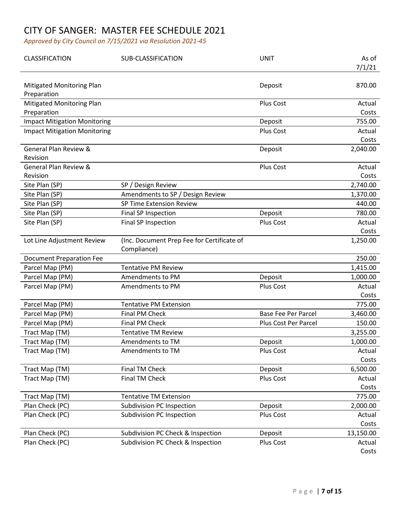| <b>CLASSIFICATION</b>               | SUB-CLASSIFICATION                                        | <b>UNIT</b>                 | As of<br>7/1/21 |
|-------------------------------------|-----------------------------------------------------------|-----------------------------|-----------------|
| <b>Mitigated Monitoring Plan</b>    |                                                           | Deposit                     | 870.00          |
| Preparation                         |                                                           |                             |                 |
| <b>Mitigated Monitoring Plan</b>    |                                                           | Plus Cost                   | Actual          |
| Preparation                         |                                                           |                             | Costs<br>755.00 |
| <b>Impact Mitigation Monitoring</b> |                                                           | Deposit<br>Plus Cost        |                 |
| <b>Impact Mitigation Monitoring</b> |                                                           |                             | Actual<br>Costs |
| <b>General Plan Review &amp;</b>    |                                                           | Deposit                     | 2,040.00        |
| Revision                            |                                                           |                             |                 |
| <b>General Plan Review &amp;</b>    |                                                           | Plus Cost                   | Actual          |
| Revision                            |                                                           |                             | Costs           |
| Site Plan (SP)                      | SP / Design Review                                        |                             | 2,740.00        |
| Site Plan (SP)                      | Amendments to SP / Design Review                          |                             | 1,370.00        |
| Site Plan (SP)                      | SP Time Extension Review                                  |                             | 440.00          |
| Site Plan (SP)                      | Final SP Inspection                                       | Deposit                     | 780.00          |
| Site Plan (SP)                      | Final SP Inspection                                       | Plus Cost                   | Actual          |
|                                     |                                                           |                             | Costs           |
| Lot Line Adjustment Review          | (Inc. Document Prep Fee for Certificate of<br>Compliance) |                             | 1,250.00        |
| <b>Document Preparation Fee</b>     |                                                           |                             | 250.00          |
| Parcel Map (PM)                     | <b>Tentative PM Review</b>                                |                             | 1,415.00        |
| Parcel Map (PM)                     | Amendments to PM                                          | Deposit                     | 1,000.00        |
| Parcel Map (PM)                     | Amendments to PM                                          | Plus Cost                   | Actual          |
|                                     |                                                           |                             | Costs           |
| Parcel Map (PM)                     | <b>Tentative PM Extension</b>                             |                             | 775.00          |
| Parcel Map (PM)                     | <b>Final PM Check</b>                                     | <b>Base Fee Per Parcel</b>  | 3,460.00        |
| Parcel Map (PM)                     | Final PM Check                                            | <b>Plus Cost Per Parcel</b> | 150.00          |
| Tract Map (TM)                      | <b>Tentative TM Review</b>                                |                             | 3,255.00        |
| Tract Map (TM)                      | Amendments to TM                                          | Deposit                     | 1,000.00        |
| Tract Map (TM)                      | Amendments to TM                                          | Plus Cost                   | Actual          |
|                                     |                                                           |                             | Costs           |
| Tract Map (TM)                      | Final TM Check                                            | Deposit                     | 6,500.00        |
| Tract Map (TM)                      | Final TM Check                                            | Plus Cost                   | Actual          |
|                                     |                                                           |                             | Costs           |
| Tract Map (TM)                      | <b>Tentative TM Extension</b>                             |                             | 775.00          |
| Plan Check (PC)                     | <b>Subdivision PC Inspection</b>                          | Deposit                     | 2,000.00        |
| Plan Check (PC)                     | <b>Subdivision PC Inspection</b>                          | Plus Cost                   | Actual          |
|                                     |                                                           |                             | Costs           |
| Plan Check (PC)                     | Subdivision PC Check & Inspection                         | Deposit                     | 13,150.00       |
| Plan Check (PC)                     | Subdivision PC Check & Inspection                         | Plus Cost                   | Actual<br>Costs |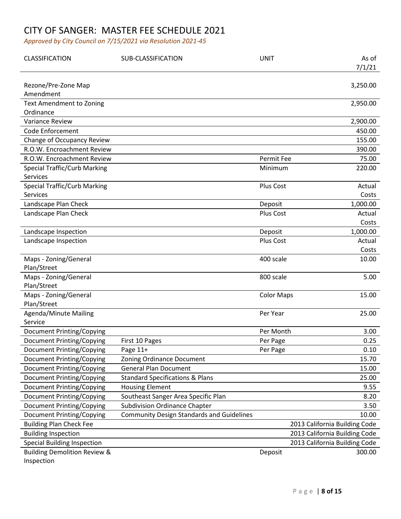| CLASSIFICATION                               | SUB-CLASSIFICATION                               | <b>UNIT</b>       | As of                         |
|----------------------------------------------|--------------------------------------------------|-------------------|-------------------------------|
|                                              |                                                  |                   | 7/1/21                        |
|                                              |                                                  |                   |                               |
| Rezone/Pre-Zone Map                          |                                                  |                   | 3,250.00                      |
| Amendment                                    |                                                  |                   |                               |
| <b>Text Amendment to Zoning</b><br>Ordinance |                                                  |                   | 2,950.00                      |
| Variance Review                              |                                                  |                   | 2,900.00                      |
| <b>Code Enforcement</b>                      |                                                  |                   | 450.00                        |
| Change of Occupancy Review                   |                                                  |                   | 155.00                        |
| R.O.W. Encroachment Review                   |                                                  |                   | 390.00                        |
| R.O.W. Encroachment Review                   |                                                  | <b>Permit Fee</b> | 75.00                         |
| <b>Special Traffic/Curb Marking</b>          |                                                  | Minimum           | 220.00                        |
| Services                                     |                                                  |                   |                               |
| <b>Special Traffic/Curb Marking</b>          |                                                  | Plus Cost         | Actual                        |
| <b>Services</b>                              |                                                  |                   | Costs                         |
| Landscape Plan Check                         |                                                  | Deposit           | 1,000.00                      |
| Landscape Plan Check                         |                                                  | Plus Cost         | Actual                        |
|                                              |                                                  |                   | Costs                         |
| Landscape Inspection                         |                                                  | Deposit           | 1,000.00                      |
| Landscape Inspection                         |                                                  | Plus Cost         | Actual                        |
|                                              |                                                  |                   | Costs                         |
| Maps - Zoning/General                        |                                                  | 400 scale         | 10.00                         |
| Plan/Street                                  |                                                  |                   |                               |
| Maps - Zoning/General                        |                                                  | 800 scale         | 5.00                          |
| Plan/Street                                  |                                                  |                   |                               |
| Maps - Zoning/General                        |                                                  | <b>Color Maps</b> | 15.00                         |
| Plan/Street                                  |                                                  |                   |                               |
| <b>Agenda/Minute Mailing</b>                 |                                                  | Per Year          | 25.00                         |
| Service                                      |                                                  |                   |                               |
| <b>Document Printing/Copying</b>             |                                                  | Per Month         | 3.00                          |
| <b>Document Printing/Copying</b>             | First 10 Pages                                   | Per Page          | 0.25                          |
| <b>Document Printing/Copying</b>             | Page 11+                                         | Per Page          | 0.10                          |
| <b>Document Printing/Copying</b>             | Zoning Ordinance Document                        |                   | 15.70                         |
| <b>Document Printing/Copying</b>             | <b>General Plan Document</b>                     |                   | 15.00                         |
| <b>Document Printing/Copying</b>             | <b>Standard Specifications &amp; Plans</b>       |                   | 25.00                         |
| <b>Document Printing/Copying</b>             | <b>Housing Element</b>                           |                   | 9.55                          |
| <b>Document Printing/Copying</b>             | Southeast Sanger Area Specific Plan              |                   | 8.20                          |
| <b>Document Printing/Copying</b>             | <b>Subdivision Ordinance Chapter</b>             |                   | 3.50                          |
| <b>Document Printing/Copying</b>             | <b>Community Design Standards and Guidelines</b> |                   | 10.00                         |
| <b>Building Plan Check Fee</b>               |                                                  |                   | 2013 California Building Code |
| <b>Building Inspection</b>                   |                                                  |                   | 2013 California Building Code |
| <b>Special Building Inspection</b>           |                                                  |                   | 2013 California Building Code |
| <b>Building Demolition Review &amp;</b>      |                                                  | Deposit           | 300.00                        |
| Inspection                                   |                                                  |                   |                               |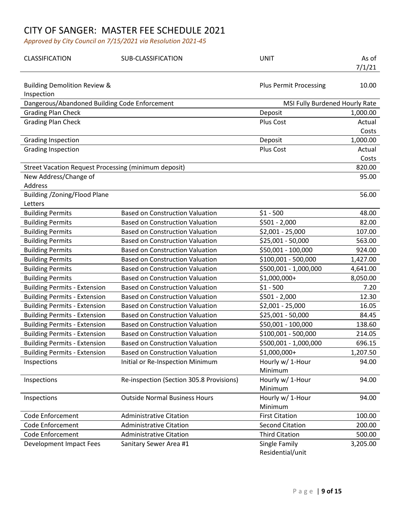| CLASSIFICATION                                              | SUB-CLASSIFICATION                       | <b>UNIT</b>                       | As of<br>7/1/21 |
|-------------------------------------------------------------|------------------------------------------|-----------------------------------|-----------------|
| <b>Building Demolition Review &amp;</b><br>Inspection       |                                          | <b>Plus Permit Processing</b>     | 10.00           |
| Dangerous/Abandoned Building Code Enforcement               |                                          | MSI Fully Burdened Hourly Rate    |                 |
| <b>Grading Plan Check</b>                                   |                                          | Deposit                           | 1,000.00        |
| <b>Grading Plan Check</b>                                   |                                          | Plus Cost                         | Actual          |
|                                                             |                                          |                                   | Costs           |
| <b>Grading Inspection</b>                                   |                                          | Deposit                           | 1,000.00        |
| <b>Grading Inspection</b>                                   |                                          | Plus Cost                         | Actual          |
|                                                             |                                          |                                   | Costs           |
| <b>Street Vacation Request Processing (minimum deposit)</b> |                                          |                                   | 820.00          |
| New Address/Change of                                       |                                          |                                   | 95.00           |
| Address                                                     |                                          |                                   |                 |
| Building / Zoning/Flood Plane                               |                                          |                                   | 56.00           |
| Letters                                                     |                                          |                                   |                 |
| <b>Building Permits</b>                                     | <b>Based on Construction Valuation</b>   | $$1 - 500$                        | 48.00           |
| <b>Building Permits</b>                                     | <b>Based on Construction Valuation</b>   | $$501 - 2,000$                    | 82.00           |
| <b>Building Permits</b>                                     | <b>Based on Construction Valuation</b>   | $$2,001 - 25,000$                 | 107.00          |
| <b>Building Permits</b>                                     | <b>Based on Construction Valuation</b>   | \$25,001 - 50,000                 | 563.00          |
| <b>Building Permits</b>                                     | <b>Based on Construction Valuation</b>   | \$50,001 - 100,000                | 924.00          |
| <b>Building Permits</b>                                     | <b>Based on Construction Valuation</b>   | \$100,001 - 500,000               | 1,427.00        |
| <b>Building Permits</b>                                     | <b>Based on Construction Valuation</b>   | \$500,001 - 1,000,000             | 4,641.00        |
| <b>Building Permits</b>                                     | <b>Based on Construction Valuation</b>   | \$1,000,000+                      | 8,050.00        |
| <b>Building Permits - Extension</b>                         | <b>Based on Construction Valuation</b>   | $$1 - 500$                        | 7.20            |
| <b>Building Permits - Extension</b>                         | <b>Based on Construction Valuation</b>   | $$501 - 2,000$                    | 12.30           |
| <b>Building Permits - Extension</b>                         | <b>Based on Construction Valuation</b>   | $$2,001 - 25,000$                 | 16.05           |
| <b>Building Permits - Extension</b>                         | <b>Based on Construction Valuation</b>   | \$25,001 - 50,000                 | 84.45           |
| <b>Building Permits - Extension</b>                         | <b>Based on Construction Valuation</b>   | \$50,001 - 100,000                | 138.60          |
| <b>Building Permits - Extension</b>                         | <b>Based on Construction Valuation</b>   | \$100,001 - 500,000               | 214.05          |
| <b>Building Permits - Extension</b>                         | <b>Based on Construction Valuation</b>   | \$500,001 - 1,000,000             | 696.15          |
| <b>Building Permits - Extension</b>                         | <b>Based on Construction Valuation</b>   | $$1,000,000+$                     | 1,207.50        |
| Inspections                                                 | Initial or Re-Inspection Minimum         | Hourly w/ 1-Hour                  | 94.00           |
|                                                             |                                          | Minimum                           |                 |
| Inspections                                                 | Re-inspection (Section 305.8 Provisions) | Hourly w/ 1-Hour                  | 94.00           |
|                                                             |                                          | Minimum                           |                 |
| Inspections                                                 | <b>Outside Normal Business Hours</b>     | Hourly w/ 1-Hour                  | 94.00           |
|                                                             |                                          | Minimum                           |                 |
| <b>Code Enforcement</b>                                     | <b>Administrative Citation</b>           | <b>First Citation</b>             | 100.00          |
| <b>Code Enforcement</b>                                     | <b>Administrative Citation</b>           | <b>Second Citation</b>            | 200.00          |
| <b>Code Enforcement</b>                                     | <b>Administrative Citation</b>           | <b>Third Citation</b>             | 500.00          |
| Development Impact Fees                                     | Sanitary Sewer Area #1                   | Single Family<br>Residential/unit | 3,205.00        |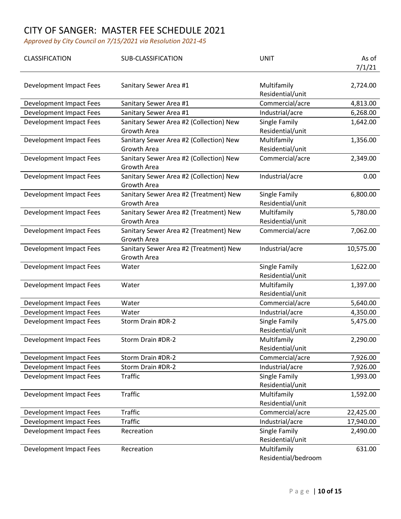| CLASSIFICATION                 | <b>SUB-CLASSIFICATION</b>                              | <b>UNIT</b>                        | As of<br>7/1/21 |
|--------------------------------|--------------------------------------------------------|------------------------------------|-----------------|
| Development Impact Fees        | Sanitary Sewer Area #1                                 | Multifamily<br>Residential/unit    | 2,724.00        |
| Development Impact Fees        | Sanitary Sewer Area #1                                 | Commercial/acre                    | 4,813.00        |
| Development Impact Fees        | Sanitary Sewer Area #1                                 | Industrial/acre                    | 6,268.00        |
| <b>Development Impact Fees</b> | Sanitary Sewer Area #2 (Collection) New<br>Growth Area | Single Family<br>Residential/unit  | 1,642.00        |
| Development Impact Fees        | Sanitary Sewer Area #2 (Collection) New<br>Growth Area | Multifamily<br>Residential/unit    | 1,356.00        |
| Development Impact Fees        | Sanitary Sewer Area #2 (Collection) New<br>Growth Area | Commercial/acre                    | 2,349.00        |
| Development Impact Fees        | Sanitary Sewer Area #2 (Collection) New<br>Growth Area | Industrial/acre                    | 0.00            |
| Development Impact Fees        | Sanitary Sewer Area #2 (Treatment) New<br>Growth Area  | Single Family<br>Residential/unit  | 6,800.00        |
| <b>Development Impact Fees</b> | Sanitary Sewer Area #2 (Treatment) New<br>Growth Area  | Multifamily<br>Residential/unit    | 5,780.00        |
| Development Impact Fees        | Sanitary Sewer Area #2 (Treatment) New<br>Growth Area  | Commercial/acre                    | 7,062.00        |
| Development Impact Fees        | Sanitary Sewer Area #2 (Treatment) New<br>Growth Area  | Industrial/acre                    | 10,575.00       |
| Development Impact Fees        | Water                                                  | Single Family<br>Residential/unit  | 1,622.00        |
| <b>Development Impact Fees</b> | Water                                                  | Multifamily<br>Residential/unit    | 1,397.00        |
| Development Impact Fees        | Water                                                  | Commercial/acre                    | 5,640.00        |
| Development Impact Fees        | Water                                                  | Industrial/acre                    | 4,350.00        |
| Development Impact Fees        | Storm Drain #DR-2                                      | Single Family<br>Residential/unit  | 5,475.00        |
| <b>Development Impact Fees</b> | Storm Drain #DR-2                                      | Multifamily<br>Residential/unit    | 2,290.00        |
| Development Impact Fees        | Storm Drain #DR-2                                      | Commercial/acre                    | 7,926.00        |
| <b>Development Impact Fees</b> | Storm Drain #DR-2                                      | Industrial/acre                    | 7,926.00        |
| <b>Development Impact Fees</b> | <b>Traffic</b>                                         | Single Family<br>Residential/unit  | 1,993.00        |
| <b>Development Impact Fees</b> | <b>Traffic</b>                                         | Multifamily<br>Residential/unit    | 1,592.00        |
| Development Impact Fees        | <b>Traffic</b>                                         | Commercial/acre                    | 22,425.00       |
| Development Impact Fees        | <b>Traffic</b>                                         | Industrial/acre                    | 17,940.00       |
| <b>Development Impact Fees</b> | Recreation                                             | Single Family<br>Residential/unit  | 2,490.00        |
| Development Impact Fees        | Recreation                                             | Multifamily<br>Residential/bedroom | 631.00          |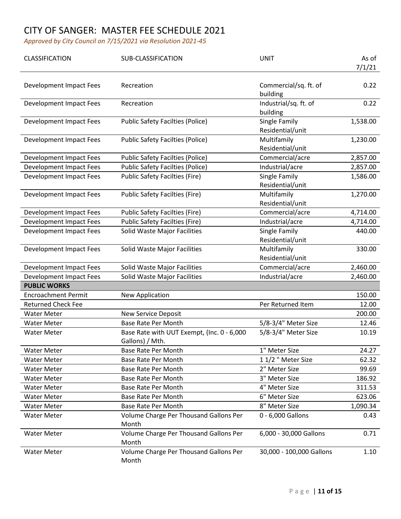| CLASSIFICATION             | SUB-CLASSIFICATION                                            | <b>UNIT</b>                       | As of<br>7/1/21 |
|----------------------------|---------------------------------------------------------------|-----------------------------------|-----------------|
| Development Impact Fees    | Recreation                                                    | Commercial/sq. ft. of<br>building | 0.22            |
| Development Impact Fees    | Recreation                                                    | Industrial/sq. ft. of<br>building | 0.22            |
| Development Impact Fees    | <b>Public Safety Facilties (Police)</b>                       | Single Family<br>Residential/unit | 1,538.00        |
| Development Impact Fees    | <b>Public Safety Facilties (Police)</b>                       | Multifamily<br>Residential/unit   | 1,230.00        |
| Development Impact Fees    | <b>Public Safety Facilties (Police)</b>                       | Commercial/acre                   | 2,857.00        |
| Development Impact Fees    | <b>Public Safety Facilties (Police)</b>                       | Industrial/acre                   | 2,857.00        |
| Development Impact Fees    | <b>Public Safety Facilties (Fire)</b>                         | Single Family<br>Residential/unit | 1,586.00        |
| Development Impact Fees    | <b>Public Safety Facilties (Fire)</b>                         | Multifamily<br>Residential/unit   | 1,270.00        |
| Development Impact Fees    | <b>Public Safety Facilties (Fire)</b>                         | Commercial/acre                   | 4,714.00        |
| Development Impact Fees    | <b>Public Safety Facilties (Fire)</b>                         | Industrial/acre                   | 4,714.00        |
| Development Impact Fees    | <b>Solid Waste Major Facilities</b>                           | Single Family<br>Residential/unit | 440.00          |
| Development Impact Fees    | Solid Waste Major Facilities                                  | Multifamily<br>Residential/unit   | 330.00          |
| Development Impact Fees    | Solid Waste Major Facilities                                  | Commercial/acre                   | 2,460.00        |
| Development Impact Fees    | Solid Waste Major Facilities                                  | Industrial/acre                   | 2,460.00        |
| <b>PUBLIC WORKS</b>        |                                                               |                                   |                 |
| <b>Encroachment Permit</b> | New Application                                               |                                   | 150.00          |
| <b>Returned Check Fee</b>  |                                                               | Per Returned Item                 | 12.00           |
| <b>Water Meter</b>         | <b>New Service Deposit</b>                                    |                                   | 200.00          |
| <b>Water Meter</b>         | <b>Base Rate Per Month</b>                                    | 5/8-3/4" Meter Size               | 12.46           |
| <b>Water Meter</b>         | Base Rate with UUT Exempt, (Inc. 0 - 6,000<br>Gallons) / Mth. | 5/8-3/4" Meter Size               | 10.19           |
| <b>Water Meter</b>         | <b>Base Rate Per Month</b>                                    | 1" Meter Size                     | 24.27           |
| <b>Water Meter</b>         | <b>Base Rate Per Month</b>                                    | 1 1/2 " Meter Size                | 62.32           |
| <b>Water Meter</b>         | <b>Base Rate Per Month</b>                                    | 2" Meter Size                     | 99.69           |
| <b>Water Meter</b>         | <b>Base Rate Per Month</b>                                    | 3" Meter Size                     | 186.92          |
| <b>Water Meter</b>         | <b>Base Rate Per Month</b>                                    | 4" Meter Size                     | 311.53          |
| <b>Water Meter</b>         | <b>Base Rate Per Month</b>                                    | 6" Meter Size                     | 623.06          |
| <b>Water Meter</b>         | <b>Base Rate Per Month</b>                                    | 8" Meter Size                     | 1,090.34        |
| <b>Water Meter</b>         | Volume Charge Per Thousand Gallons Per<br>Month               | 0 - 6,000 Gallons                 | 0.43            |
| <b>Water Meter</b>         | Volume Charge Per Thousand Gallons Per<br>Month               | 6,000 - 30,000 Gallons            | 0.71            |
| <b>Water Meter</b>         | Volume Charge Per Thousand Gallons Per<br>Month               | 30,000 - 100,000 Gallons          | 1.10            |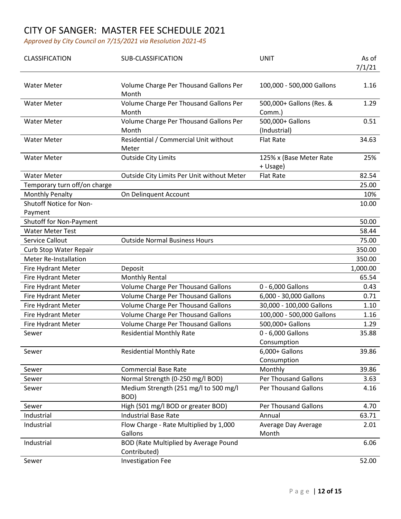| CLASSIFICATION                     | SUB-CLASSIFICATION                                    | <b>UNIT</b>                         | As of<br>7/1/21 |
|------------------------------------|-------------------------------------------------------|-------------------------------------|-----------------|
| <b>Water Meter</b>                 | Volume Charge Per Thousand Gallons Per<br>Month       | 100,000 - 500,000 Gallons           | 1.16            |
| <b>Water Meter</b>                 | Volume Charge Per Thousand Gallons Per<br>Month       | 500,000+ Gallons (Res. &<br>Comm.)  | 1.29            |
| <b>Water Meter</b>                 | Volume Charge Per Thousand Gallons Per<br>Month       | 500,000+ Gallons<br>(Industrial)    | 0.51            |
| <b>Water Meter</b>                 | Residential / Commercial Unit without<br>Meter        | <b>Flat Rate</b>                    | 34.63           |
| <b>Water Meter</b>                 | <b>Outside City Limits</b>                            | 125% x (Base Meter Rate<br>+ Usage) | 25%             |
| <b>Water Meter</b>                 | Outside City Limits Per Unit without Meter            | <b>Flat Rate</b>                    | 82.54           |
| Temporary turn off/on charge       |                                                       |                                     | 25.00           |
| <b>Monthly Penalty</b>             | On Delinquent Account                                 |                                     | 10%             |
| Shutoff Notice for Non-<br>Payment |                                                       |                                     | 10.00           |
| Shutoff for Non-Payment            |                                                       |                                     | 50.00           |
| <b>Water Meter Test</b>            |                                                       |                                     | 58.44           |
| Service Callout                    | <b>Outside Normal Business Hours</b>                  |                                     | 75.00           |
| Curb Stop Water Repair             |                                                       |                                     | 350.00          |
| <b>Meter Re-Installation</b>       |                                                       |                                     | 350.00          |
| Fire Hydrant Meter                 | Deposit                                               |                                     | 1,000.00        |
| Fire Hydrant Meter                 | <b>Monthly Rental</b>                                 |                                     | 65.54           |
| Fire Hydrant Meter                 | Volume Charge Per Thousand Gallons                    | 0 - 6,000 Gallons                   | 0.43            |
| Fire Hydrant Meter                 | <b>Volume Charge Per Thousand Gallons</b>             | 6,000 - 30,000 Gallons              | 0.71            |
| Fire Hydrant Meter                 | Volume Charge Per Thousand Gallons                    | 30,000 - 100,000 Gallons            | 1.10            |
| Fire Hydrant Meter                 | <b>Volume Charge Per Thousand Gallons</b>             | 100,000 - 500,000 Gallons           | 1.16            |
| Fire Hydrant Meter                 | Volume Charge Per Thousand Gallons                    | 500,000+ Gallons                    | 1.29            |
| Sewer                              | <b>Residential Monthly Rate</b>                       | 0 - 6,000 Gallons<br>Consumption    | 35.88           |
| Sewer                              | <b>Residential Monthly Rate</b>                       | 6,000+ Gallons<br>Consumption       | 39.86           |
| Sewer                              | <b>Commercial Base Rate</b>                           | Monthly                             | 39.86           |
| Sewer                              | Normal Strength (0-250 mg/l BOD)                      | <b>Per Thousand Gallons</b>         | 3.63            |
| Sewer                              | Medium Strength (251 mg/l to 500 mg/l<br>BOD)         | <b>Per Thousand Gallons</b>         | 4.16            |
| Sewer                              | High (501 mg/l BOD or greater BOD)                    | <b>Per Thousand Gallons</b>         | 4.70            |
| Industrial                         | <b>Industrial Base Rate</b>                           | Annual                              | 63.71           |
| Industrial                         | Flow Charge - Rate Multiplied by 1,000<br>Gallons     | Average Day Average<br>Month        | 2.01            |
| Industrial                         | BOD (Rate Multiplied by Average Pound<br>Contributed) |                                     | 6.06            |
| Sewer                              | <b>Investigation Fee</b>                              |                                     | 52.00           |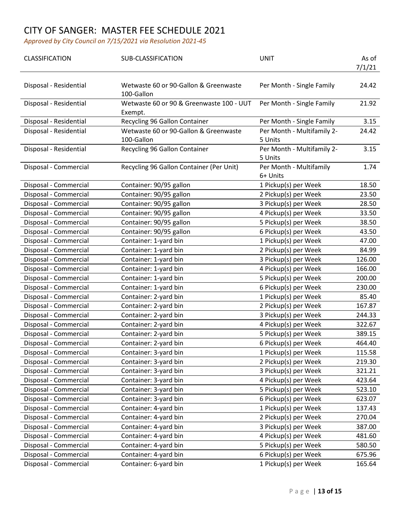| CLASSIFICATION         | <b>SUB-CLASSIFICATION</b>                           | <b>UNIT</b>                           | As of<br>7/1/21 |
|------------------------|-----------------------------------------------------|---------------------------------------|-----------------|
| Disposal - Residential | Wetwaste 60 or 90-Gallon & Greenwaste<br>100-Gallon | Per Month - Single Family             | 24.42           |
| Disposal - Residential | Wetwaste 60 or 90 & Greenwaste 100 - UUT<br>Exempt. | Per Month - Single Family             | 21.92           |
| Disposal - Residential | Recycling 96 Gallon Container                       | Per Month - Single Family             | 3.15            |
| Disposal - Residential | Wetwaste 60 or 90-Gallon & Greenwaste<br>100-Gallon | Per Month - Multifamily 2-<br>5 Units | 24.42           |
| Disposal - Residential | Recycling 96 Gallon Container                       | Per Month - Multifamily 2-<br>5 Units | 3.15            |
| Disposal - Commercial  | Recycling 96 Gallon Container (Per Unit)            | Per Month - Multifamily<br>6+ Units   | 1.74            |
| Disposal - Commercial  | Container: 90/95 gallon                             | 1 Pickup(s) per Week                  | 18.50           |
| Disposal - Commercial  | Container: 90/95 gallon                             | 2 Pickup(s) per Week                  | 23.50           |
| Disposal - Commercial  | Container: 90/95 gallon                             | 3 Pickup(s) per Week                  | 28.50           |
| Disposal - Commercial  | Container: 90/95 gallon                             | 4 Pickup(s) per Week                  | 33.50           |
| Disposal - Commercial  | Container: 90/95 gallon                             | 5 Pickup(s) per Week                  | 38.50           |
| Disposal - Commercial  | Container: 90/95 gallon                             | 6 Pickup(s) per Week                  | 43.50           |
| Disposal - Commercial  | Container: 1-yard bin                               | 1 Pickup(s) per Week                  | 47.00           |
| Disposal - Commercial  | Container: 1-yard bin                               | 2 Pickup(s) per Week                  | 84.99           |
| Disposal - Commercial  | Container: 1-yard bin                               | 3 Pickup(s) per Week                  | 126.00          |
| Disposal - Commercial  | Container: 1-yard bin                               | 4 Pickup(s) per Week                  | 166.00          |
| Disposal - Commercial  | Container: 1-yard bin                               | 5 Pickup(s) per Week                  | 200.00          |
| Disposal - Commercial  | Container: 1-yard bin                               | 6 Pickup(s) per Week                  | 230.00          |
| Disposal - Commercial  | Container: 2-yard bin                               | 1 Pickup(s) per Week                  | 85.40           |
| Disposal - Commercial  | Container: 2-yard bin                               | 2 Pickup(s) per Week                  | 167.87          |
| Disposal - Commercial  | Container: 2-yard bin                               | 3 Pickup(s) per Week                  | 244.33          |
| Disposal - Commercial  | Container: 2-yard bin                               | 4 Pickup(s) per Week                  | 322.67          |
| Disposal - Commercial  | Container: 2-yard bin                               | 5 Pickup(s) per Week                  | 389.15          |
| Disposal - Commercial  | Container: 2-yard bin                               | 6 Pickup(s) per Week                  | 464.40          |
| Disposal - Commercial  | Container: 3-yard bin                               | 1 Pickup(s) per Week                  | 115.58          |
| Disposal - Commercial  | Container: 3-yard bin                               | 2 Pickup(s) per Week                  | 219.30          |
| Disposal - Commercial  | Container: 3-yard bin                               | 3 Pickup(s) per Week                  | 321.21          |
| Disposal - Commercial  | Container: 3-yard bin                               | 4 Pickup(s) per Week                  | 423.64          |
| Disposal - Commercial  | Container: 3-yard bin                               | 5 Pickup(s) per Week                  | 523.10          |
| Disposal - Commercial  | Container: 3-yard bin                               | 6 Pickup(s) per Week                  | 623.07          |
| Disposal - Commercial  | Container: 4-yard bin                               | 1 Pickup(s) per Week                  | 137.43          |
| Disposal - Commercial  | Container: 4-yard bin                               | 2 Pickup(s) per Week                  | 270.04          |
| Disposal - Commercial  | Container: 4-yard bin                               | 3 Pickup(s) per Week                  | 387.00          |
| Disposal - Commercial  | Container: 4-yard bin                               | 4 Pickup(s) per Week                  | 481.60          |
| Disposal - Commercial  | Container: 4-yard bin                               | 5 Pickup(s) per Week                  | 580.50          |
| Disposal - Commercial  | Container: 4-yard bin                               | 6 Pickup(s) per Week                  | 675.96          |
| Disposal - Commercial  | Container: 6-yard bin                               | 1 Pickup(s) per Week                  | 165.64          |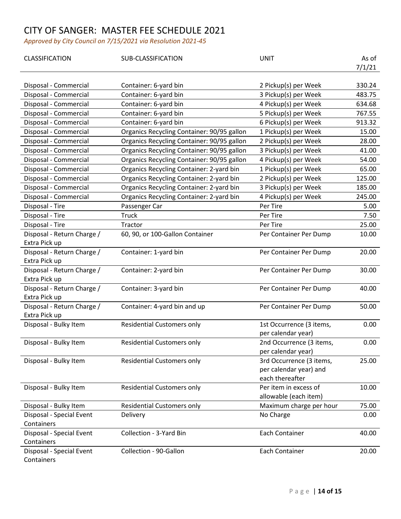| CLASSIFICATION             | SUB-CLASSIFICATION                         | <b>UNIT</b>              | As of  |
|----------------------------|--------------------------------------------|--------------------------|--------|
|                            |                                            |                          | 7/1/21 |
|                            |                                            |                          |        |
| Disposal - Commercial      | Container: 6-yard bin                      | 2 Pickup(s) per Week     | 330.24 |
| Disposal - Commercial      | Container: 6-yard bin                      | 3 Pickup(s) per Week     | 483.75 |
| Disposal - Commercial      | Container: 6-yard bin                      | 4 Pickup(s) per Week     | 634.68 |
| Disposal - Commercial      | Container: 6-yard bin                      | 5 Pickup(s) per Week     | 767.55 |
| Disposal - Commercial      | Container: 6-yard bin                      | 6 Pickup(s) per Week     | 913.32 |
| Disposal - Commercial      | Organics Recycling Container: 90/95 gallon | 1 Pickup(s) per Week     | 15.00  |
| Disposal - Commercial      | Organics Recycling Container: 90/95 gallon | 2 Pickup(s) per Week     | 28.00  |
| Disposal - Commercial      | Organics Recycling Container: 90/95 gallon | 3 Pickup(s) per Week     | 41.00  |
| Disposal - Commercial      | Organics Recycling Container: 90/95 gallon | 4 Pickup(s) per Week     | 54.00  |
| Disposal - Commercial      | Organics Recycling Container: 2-yard bin   | 1 Pickup(s) per Week     | 65.00  |
| Disposal - Commercial      | Organics Recycling Container: 2-yard bin   | 2 Pickup(s) per Week     | 125.00 |
| Disposal - Commercial      | Organics Recycling Container: 2-yard bin   | 3 Pickup(s) per Week     | 185.00 |
| Disposal - Commercial      | Organics Recycling Container: 2-yard bin   | 4 Pickup(s) per Week     | 245.00 |
| Disposal - Tire            | Passenger Car                              | Per Tire                 | 5.00   |
| Disposal - Tire            | <b>Truck</b>                               | Per Tire                 | 7.50   |
| Disposal - Tire            | Tractor                                    | Per Tire                 | 25.00  |
| Disposal - Return Charge / | 60, 90, or 100-Gallon Container            | Per Container Per Dump   | 10.00  |
| Extra Pick up              |                                            |                          |        |
| Disposal - Return Charge / | Container: 1-yard bin                      | Per Container Per Dump   | 20.00  |
| Extra Pick up              |                                            |                          |        |
| Disposal - Return Charge / | Container: 2-yard bin                      | Per Container Per Dump   | 30.00  |
| Extra Pick up              |                                            |                          |        |
| Disposal - Return Charge / | Container: 3-yard bin                      | Per Container Per Dump   | 40.00  |
| Extra Pick up              |                                            |                          |        |
| Disposal - Return Charge / | Container: 4-yard bin and up               | Per Container Per Dump   | 50.00  |
| Extra Pick up              |                                            |                          |        |
| Disposal - Bulky Item      | <b>Residential Customers only</b>          | 1st Occurrence (3 items, | 0.00   |
|                            |                                            | per calendar year)       |        |
| Disposal - Bulky Item      | <b>Residential Customers only</b>          | 2nd Occurrence (3 items, | 0.00   |
|                            |                                            | per calendar year)       |        |
| Disposal - Bulky Item      | <b>Residential Customers only</b>          | 3rd Occurrence (3 items, | 25.00  |
|                            |                                            | per calendar year) and   |        |
|                            |                                            | each thereafter          |        |
| Disposal - Bulky Item      | <b>Residential Customers only</b>          | Per item in excess of    | 10.00  |
|                            |                                            | allowable (each item)    |        |
| Disposal - Bulky Item      | <b>Residential Customers only</b>          | Maximum charge per hour  | 75.00  |
| Disposal - Special Event   | Delivery                                   | No Charge                | 0.00   |
| Containers                 |                                            |                          |        |
| Disposal - Special Event   | Collection - 3-Yard Bin                    | <b>Each Container</b>    | 40.00  |
| Containers                 |                                            |                          |        |
| Disposal - Special Event   | Collection - 90-Gallon                     | <b>Each Container</b>    | 20.00  |
| Containers                 |                                            |                          |        |